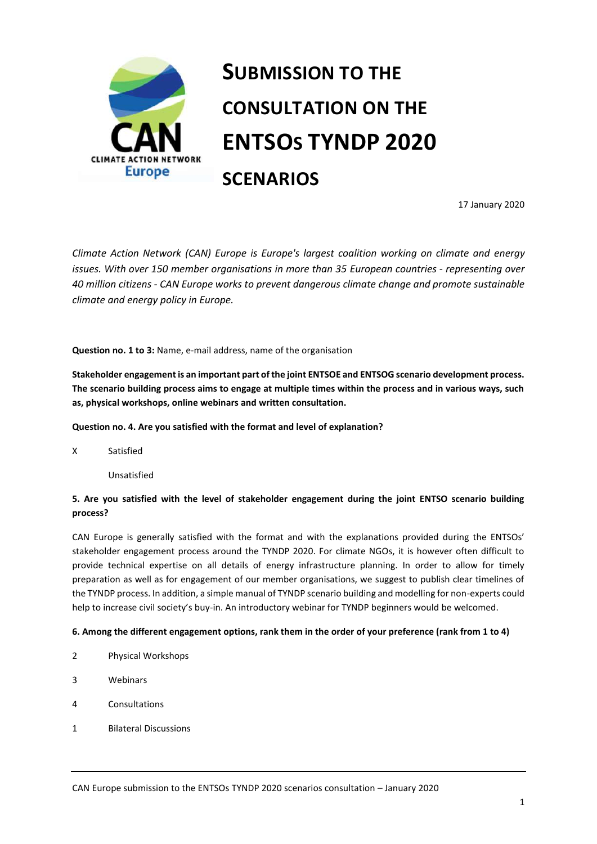

# **SUBMISSION TO THE CONSULTATION ON THE ENTSOS TYNDP 2020 SCENARIOS**

17 January 2020

*Climate Action Network (CAN) Europe is Europe's largest coalition working on climate and energy issues. With over 150 member organisations in more than 35 European countries - representing over 40 million citizens - CAN Europe works to prevent dangerous climate change and promote sustainable climate and energy policy in Europe.*

**Question no. 1 to 3:** Name, e-mail address, name of the organisation

**Stakeholder engagement is an important part of the joint ENTSOE and ENTSOG scenario development process. The scenario building process aims to engage at multiple times within the process and in various ways, such as, physical workshops, online webinars and written consultation.**

## **Question no. 4. Are you satisfied with the format and level of explanation?**

X Satisfied

Unsatisfied

# **5. Are you satisfied with the level of stakeholder engagement during the joint ENTSO scenario building process?**

CAN Europe is generally satisfied with the format and with the explanations provided during the ENTSOs' stakeholder engagement process around the TYNDP 2020. For climate NGOs, it is however often difficult to provide technical expertise on all details of energy infrastructure planning. In order to allow for timely preparation as well as for engagement of our member organisations, we suggest to publish clear timelines of the TYNDP process. In addition, a simple manual of TYNDP scenario building and modelling for non-experts could help to increase civil society's buy-in. An introductory webinar for TYNDP beginners would be welcomed.

## **6. Among the different engagement options, rank them in the order of your preference (rank from 1 to 4)**

- 2 Physical Workshops
- 3 Webinars
- 4 Consultations
- 1 Bilateral Discussions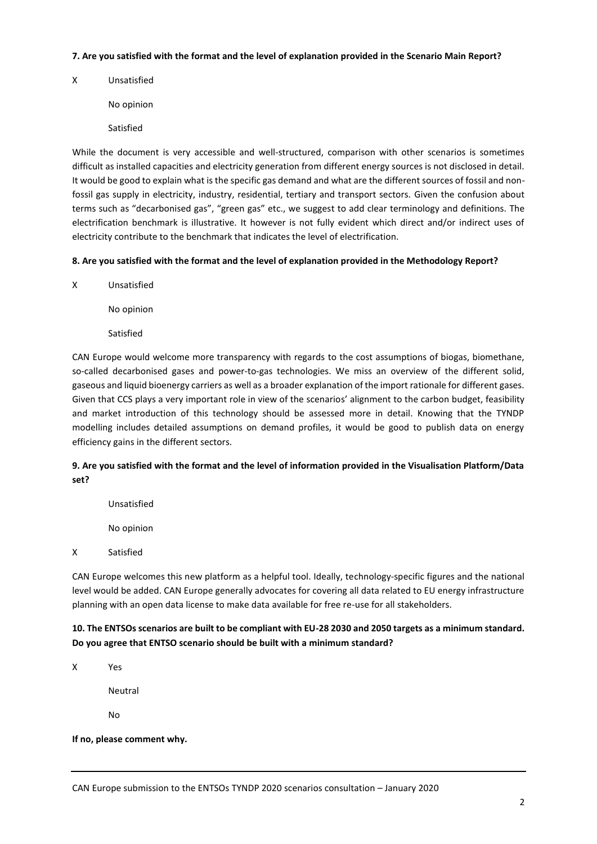### **7. Are you satisfied with the format and the level of explanation provided in the Scenario Main Report?**

X Unsatisfied

No opinion

Satisfied

While the document is very accessible and well-structured, comparison with other scenarios is sometimes difficult as installed capacities and electricity generation from different energy sources is not disclosed in detail. It would be good to explain what is the specific gas demand and what are the different sources of fossil and nonfossil gas supply in electricity, industry, residential, tertiary and transport sectors. Given the confusion about terms such as "decarbonised gas", "green gas" etc., we suggest to add clear terminology and definitions. The electrification benchmark is illustrative. It however is not fully evident which direct and/or indirect uses of electricity contribute to the benchmark that indicates the level of electrification.

## **8. Are you satisfied with the format and the level of explanation provided in the Methodology Report?**

X Unsatisfied

No opinion

Satisfied

CAN Europe would welcome more transparency with regards to the cost assumptions of biogas, biomethane, so-called decarbonised gases and power-to-gas technologies. We miss an overview of the different solid, gaseous and liquid bioenergy carriers as well as a broader explanation of the import rationale for different gases. Given that CCS plays a very important role in view of the scenarios' alignment to the carbon budget, feasibility and market introduction of this technology should be assessed more in detail. Knowing that the TYNDP modelling includes detailed assumptions on demand profiles, it would be good to publish data on energy efficiency gains in the different sectors.

# **9. Are you satisfied with the format and the level of information provided in the Visualisation Platform/Data set?**

Unsatisfied No opinion X Satisfied

CAN Europe welcomes this new platform as a helpful tool. Ideally, technology-specific figures and the national level would be added. CAN Europe generally advocates for covering all data related to EU energy infrastructure planning with an open data license to make data available for free re-use for all stakeholders.

# **10. The ENTSOs scenarios are built to be compliant with EU-28 2030 and 2050 targets as a minimum standard. Do you agree that ENTSO scenario should be built with a minimum standard?**

X Yes

Neutral

No

## **If no, please comment why.**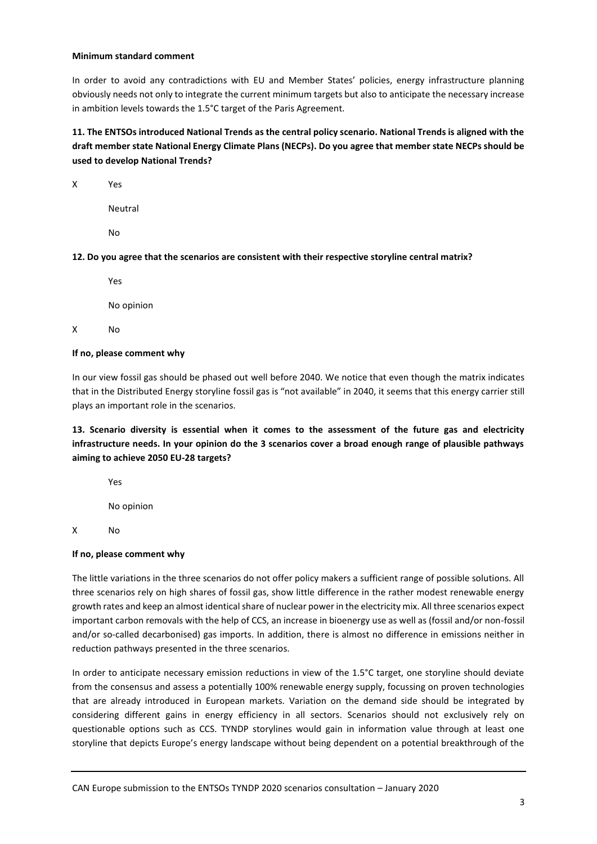#### **Minimum standard comment**

In order to avoid any contradictions with EU and Member States' policies, energy infrastructure planning obviously needs not only to integrate the current minimum targets but also to anticipate the necessary increase in ambition levels towards the 1.5°C target of the Paris Agreement.

**11. The ENTSOs introduced National Trends as the central policy scenario. National Trends is aligned with the draft member state National Energy Climate Plans (NECPs). Do you agree that member state NECPs should be used to develop National Trends?**

X Yes

Neutral

No

**12. Do you agree that the scenarios are consistent with their respective storyline central matrix?**

Yes

No opinion

X No

## **If no, please comment why**

In our view fossil gas should be phased out well before 2040. We notice that even though the matrix indicates that in the Distributed Energy storyline fossil gas is "not available" in 2040, it seems that this energy carrier still plays an important role in the scenarios.

**13. Scenario diversity is essential when it comes to the assessment of the future gas and electricity infrastructure needs. In your opinion do the 3 scenarios cover a broad enough range of plausible pathways aiming to achieve 2050 EU-28 targets?**

Yes

No opinion

X No

## **If no, please comment why**

The little variations in the three scenarios do not offer policy makers a sufficient range of possible solutions. All three scenarios rely on high shares of fossil gas, show little difference in the rather modest renewable energy growth rates and keep an almost identical share of nuclear power in the electricity mix. All three scenarios expect important carbon removals with the help of CCS, an increase in bioenergy use as well as (fossil and/or non-fossil and/or so-called decarbonised) gas imports. In addition, there is almost no difference in emissions neither in reduction pathways presented in the three scenarios.

In order to anticipate necessary emission reductions in view of the 1.5°C target, one storyline should deviate from the consensus and assess a potentially 100% renewable energy supply, focussing on proven technologies that are already introduced in European markets. Variation on the demand side should be integrated by considering different gains in energy efficiency in all sectors. Scenarios should not exclusively rely on questionable options such as CCS. TYNDP storylines would gain in information value through at least one storyline that depicts Europe's energy landscape without being dependent on a potential breakthrough of the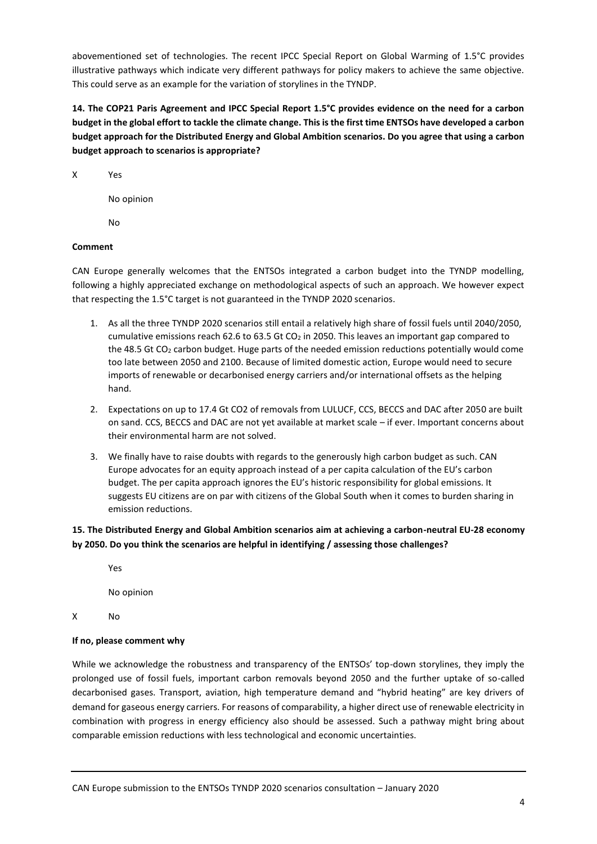abovementioned set of technologies. The recent IPCC Special Report on Global Warming of 1.5°C provides illustrative pathways which indicate very different pathways for policy makers to achieve the same objective. This could serve as an example for the variation of storylines in the TYNDP.

**14. The COP21 Paris Agreement and IPCC Special Report 1.5°C provides evidence on the need for a carbon budget in the global effort to tackle the climate change. This is the first time ENTSOs have developed a carbon budget approach for the Distributed Energy and Global Ambition scenarios. Do you agree that using a carbon budget approach to scenarios is appropriate?**

X Yes

No opinion

No

## **Comment**

CAN Europe generally welcomes that the ENTSOs integrated a carbon budget into the TYNDP modelling, following a highly appreciated exchange on methodological aspects of such an approach. We however expect that respecting the 1.5°C target is not guaranteed in the TYNDP 2020 scenarios.

- 1. As all the three TYNDP 2020 scenarios still entail a relatively high share of fossil fuels until 2040/2050, cumulative emissions reach 62.6 to 63.5 Gt CO<sub>2</sub> in 2050. This leaves an important gap compared to the 48.5 Gt CO<sup>2</sup> carbon budget. Huge parts of the needed emission reductions potentially would come too late between 2050 and 2100. Because of limited domestic action, Europe would need to secure imports of renewable or decarbonised energy carriers and/or international offsets as the helping hand.
- 2. Expectations on up to 17.4 Gt CO2 of removals from LULUCF, CCS, BECCS and DAC after 2050 are built on sand. CCS, BECCS and DAC are not yet available at market scale – if ever. Important concerns about their environmental harm are not solved.
- 3. We finally have to raise doubts with regards to the generously high carbon budget as such. CAN Europe advocates for an equity approach instead of a per capita calculation of the EU's carbon budget. The per capita approach ignores the EU's historic responsibility for global emissions. It suggests EU citizens are on par with citizens of the Global South when it comes to burden sharing in emission reductions.

# **15. The Distributed Energy and Global Ambition scenarios aim at achieving a carbon-neutral EU-28 economy by 2050. Do you think the scenarios are helpful in identifying / assessing those challenges?**

Yes

No opinion

X No

## **If no, please comment why**

While we acknowledge the robustness and transparency of the ENTSOs' top-down storylines, they imply the prolonged use of fossil fuels, important carbon removals beyond 2050 and the further uptake of so-called decarbonised gases. Transport, aviation, high temperature demand and "hybrid heating" are key drivers of demand for gaseous energy carriers. For reasons of comparability, a higher direct use of renewable electricity in combination with progress in energy efficiency also should be assessed. Such a pathway might bring about comparable emission reductions with less technological and economic uncertainties.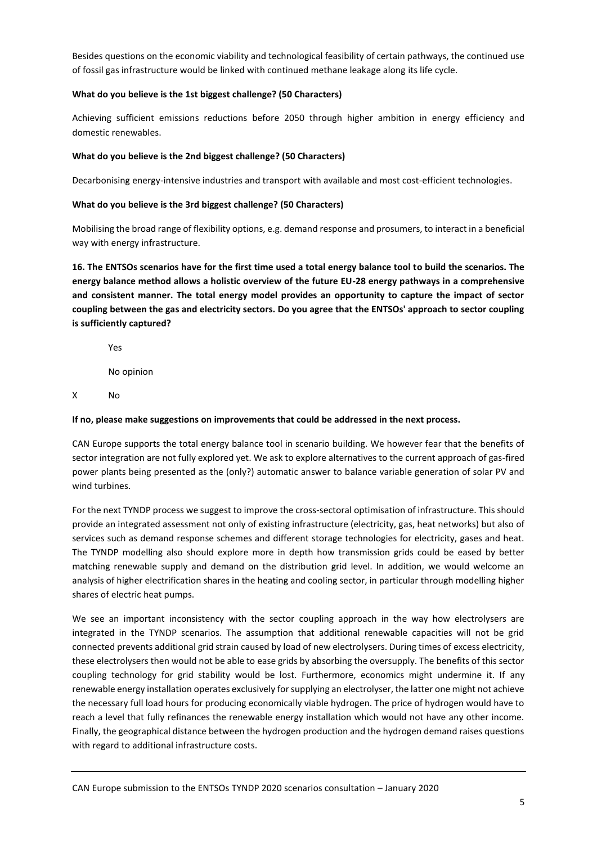Besides questions on the economic viability and technological feasibility of certain pathways, the continued use of fossil gas infrastructure would be linked with continued methane leakage along its life cycle.

## **What do you believe is the 1st biggest challenge? (50 Characters)**

Achieving sufficient emissions reductions before 2050 through higher ambition in energy efficiency and domestic renewables.

# **What do you believe is the 2nd biggest challenge? (50 Characters)**

Decarbonising energy-intensive industries and transport with available and most cost-efficient technologies.

# **What do you believe is the 3rd biggest challenge? (50 Characters)**

Mobilising the broad range of flexibility options, e.g. demand response and prosumers, to interact in a beneficial way with energy infrastructure.

**16. The ENTSOs scenarios have for the first time used a total energy balance tool to build the scenarios. The energy balance method allows a holistic overview of the future EU-28 energy pathways in a comprehensive and consistent manner. The total energy model provides an opportunity to capture the impact of sector coupling between the gas and electricity sectors. Do you agree that the ENTSOs' approach to sector coupling is sufficiently captured?**

Yes

No opinion

X No

## **If no, please make suggestions on improvements that could be addressed in the next process.**

CAN Europe supports the total energy balance tool in scenario building. We however fear that the benefits of sector integration are not fully explored yet. We ask to explore alternatives to the current approach of gas-fired power plants being presented as the (only?) automatic answer to balance variable generation of solar PV and wind turbines.

For the next TYNDP process we suggest to improve the cross-sectoral optimisation of infrastructure. This should provide an integrated assessment not only of existing infrastructure (electricity, gas, heat networks) but also of services such as demand response schemes and different storage technologies for electricity, gases and heat. The TYNDP modelling also should explore more in depth how transmission grids could be eased by better matching renewable supply and demand on the distribution grid level. In addition, we would welcome an analysis of higher electrification shares in the heating and cooling sector, in particular through modelling higher shares of electric heat pumps.

We see an important inconsistency with the sector coupling approach in the way how electrolysers are integrated in the TYNDP scenarios. The assumption that additional renewable capacities will not be grid connected prevents additional grid strain caused by load of new electrolysers. During times of excess electricity, these electrolysers then would not be able to ease grids by absorbing the oversupply. The benefits of this sector coupling technology for grid stability would be lost. Furthermore, economics might undermine it. If any renewable energy installation operates exclusively for supplying an electrolyser, the latter one might not achieve the necessary full load hours for producing economically viable hydrogen. The price of hydrogen would have to reach a level that fully refinances the renewable energy installation which would not have any other income. Finally, the geographical distance between the hydrogen production and the hydrogen demand raises questions with regard to additional infrastructure costs.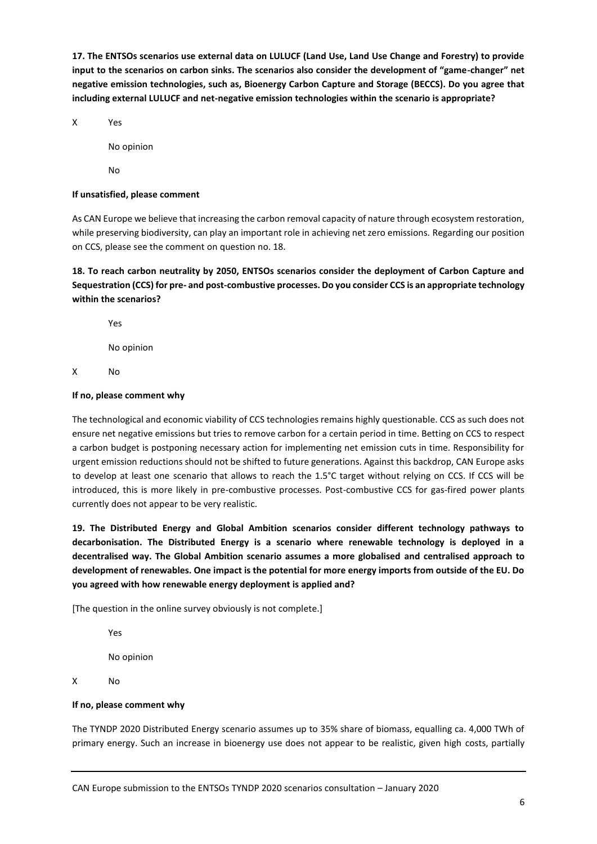**17. The ENTSOs scenarios use external data on LULUCF (Land Use, Land Use Change and Forestry) to provide input to the scenarios on carbon sinks. The scenarios also consider the development of "game-changer" net negative emission technologies, such as, Bioenergy Carbon Capture and Storage (BECCS). Do you agree that including external LULUCF and net-negative emission technologies within the scenario is appropriate?**

X Yes

No opinion

No

### **If unsatisfied, please comment**

As CAN Europe we believe that increasing the carbon removal capacity of nature through ecosystem restoration, while preserving biodiversity, can play an important role in achieving net zero emissions. Regarding our position on CCS, please see the comment on question no. 18.

**18. To reach carbon neutrality by 2050, ENTSOs scenarios consider the deployment of Carbon Capture and Sequestration (CCS) for pre- and post-combustive processes. Do you consider CCS is an appropriate technology within the scenarios?**

Yes

No opinion

X No

#### **If no, please comment why**

The technological and economic viability of CCS technologies remains highly questionable. CCS as such does not ensure net negative emissions but tries to remove carbon for a certain period in time. Betting on CCS to respect a carbon budget is postponing necessary action for implementing net emission cuts in time. Responsibility for urgent emission reductions should not be shifted to future generations. Against this backdrop, CAN Europe asks to develop at least one scenario that allows to reach the 1.5°C target without relying on CCS. If CCS will be introduced, this is more likely in pre-combustive processes. Post-combustive CCS for gas-fired power plants currently does not appear to be very realistic.

**19. The Distributed Energy and Global Ambition scenarios consider different technology pathways to decarbonisation. The Distributed Energy is a scenario where renewable technology is deployed in a decentralised way. The Global Ambition scenario assumes a more globalised and centralised approach to development of renewables. One impact is the potential for more energy imports from outside of the EU. Do you agreed with how renewable energy deployment is applied and?**

[The question in the online survey obviously is not complete.]

Yes No opinion X No

#### **If no, please comment why**

The TYNDP 2020 Distributed Energy scenario assumes up to 35% share of biomass, equalling ca. 4,000 TWh of primary energy. Such an increase in bioenergy use does not appear to be realistic, given high costs, partially